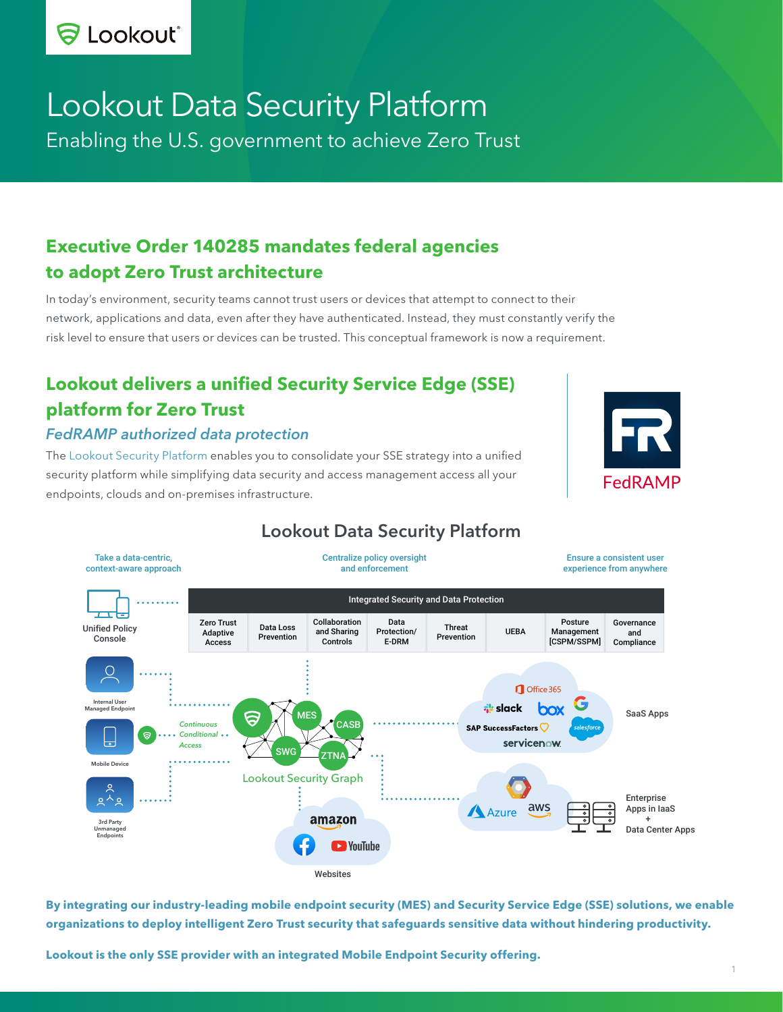

# Lookout Data Security Platform Enabling the U.S. government to achieve Zero Trust

# **Executive Order 140285 mandates federal agencies to adopt Zero Trust architecture**

In today's environment, security teams cannot trust users or devices that attempt to connect to their network, applications and data, even after they have authenticated. Instead, they must constantly verify the risk level to ensure that users or devices can be trusted. This conceptual framework is now a requirement.

# **Lookout delivers a unified Security Service Edge (SSE) platform for Zero Trust**

#### *FedRAMP authorized data protection*

The [Lookout Security Platform](https://lookout.com/products/platform) enables you to consolidate your SSE strategy into a unified security platform while simplifying data security and access management access all your endpoints, clouds and on-premises infrastructure.





# Lookout Data Security Platform

**By integrating our industry-leading mobile endpoint security (MES) and Security Service Edge (SSE) solutions, we enable organizations to deploy intelligent Zero Trust security that safeguards sensitive data without hindering productivity.**

**Lookout is the only SSE provider with an integrated Mobile Endpoint Security offering.**